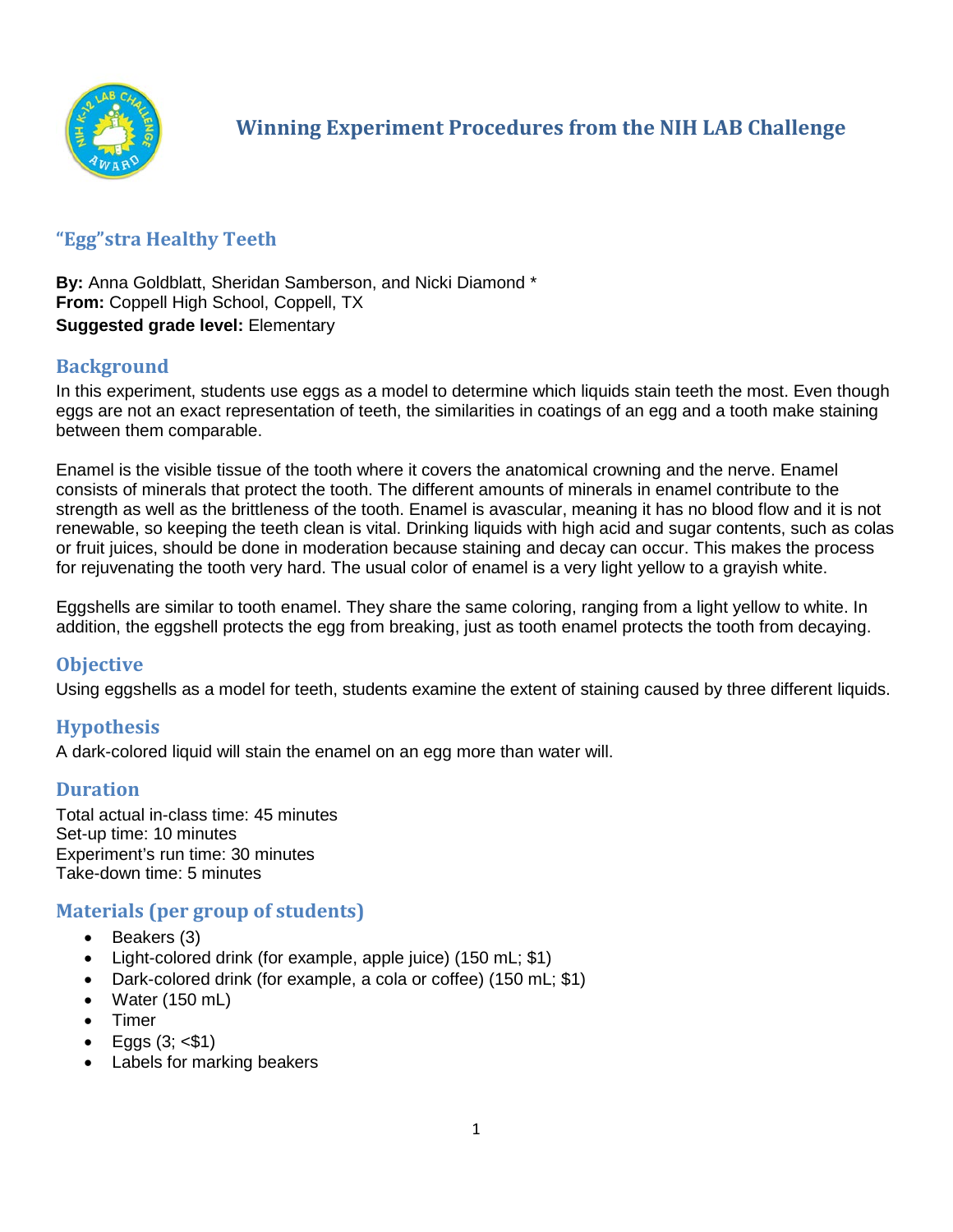

# **"Egg"stra Healthy Teeth**

**By:** Anna Goldblatt, Sheridan Samberson, and Nicki Diamond \* **From:** Coppell High School, Coppell, TX **Suggested grade level:** Elementary

# **Background**

In this experiment, students use eggs as a model to determine which liquids stain teeth the most. Even though eggs are not an exact representation of teeth, the similarities in coatings of an egg and a tooth make staining between them comparable.

Enamel is the visible tissue of the tooth where it covers the anatomical crowning and the nerve. Enamel consists of minerals that protect the tooth. The different amounts of minerals in enamel contribute to the strength as well as the brittleness of the tooth. Enamel is avascular, meaning it has no blood flow and it is not renewable, so keeping the teeth clean is vital. Drinking liquids with high acid and sugar contents, such as colas or fruit juices, should be done in moderation because staining and decay can occur. This makes the process for rejuvenating the tooth very hard. The usual color of enamel is a very light yellow to a grayish white.

Eggshells are similar to tooth enamel. They share the same coloring, ranging from a light yellow to white. In addition, the eggshell protects the egg from breaking, just as tooth enamel protects the tooth from decaying.

# **Objective**

Using eggshells as a model for teeth, students examine the extent of staining caused by three different liquids.

# **Hypothesis**

A dark-colored liquid will stain the enamel on an egg more than water will.

# **Duration**

Total actual in-class time: 45 minutes Set-up time: 10 minutes Experiment's run time: 30 minutes Take-down time: 5 minutes

# **Materials (per group of students)**

- Beakers (3)
- Light-colored drink (for example, apple juice) (150 mL; \$1)
- Dark-colored drink (for example, a cola or coffee) (150 mL; \$1)
- Water (150 mL)
- Timer
- Eggs  $(3; *$1*)$
- Labels for marking beakers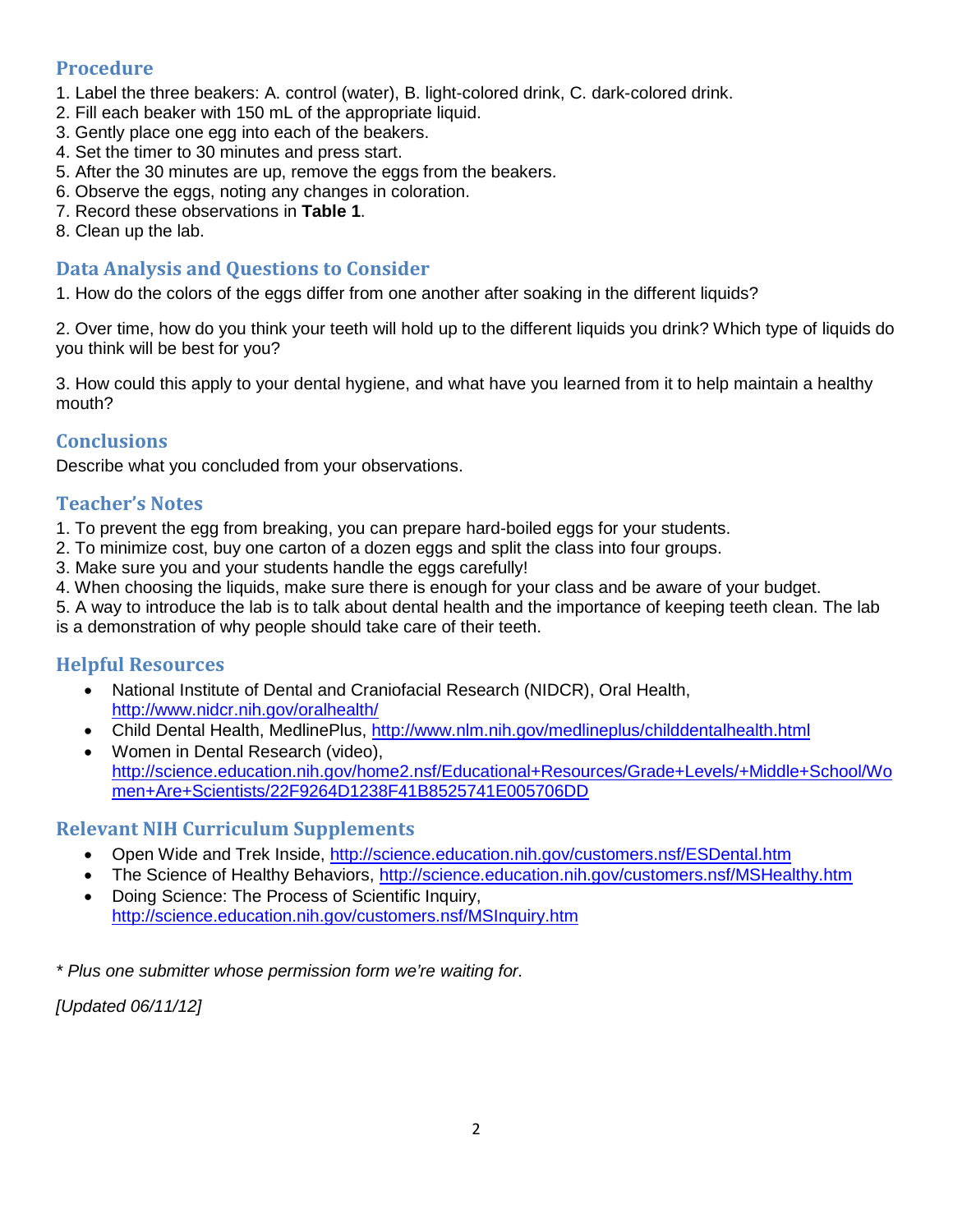# **Procedure**

- 1. Label the three beakers: A. control (water), B. light-colored drink, C. dark-colored drink.
- 2. Fill each beaker with 150 mL of the appropriate liquid.
- 3. Gently place one egg into each of the beakers.
- 4. Set the timer to 30 minutes and press start.
- 5. After the 30 minutes are up, remove the eggs from the beakers.
- 6. Observe the eggs, noting any changes in coloration.
- 7. Record these observations in **Table 1**.
- 8. Clean up the lab.

# **Data Analysis and Questions to Consider**

1. How do the colors of the eggs differ from one another after soaking in the different liquids?

2. Over time, how do you think your teeth will hold up to the different liquids you drink? Which type of liquids do you think will be best for you?

3. How could this apply to your dental hygiene, and what have you learned from it to help maintain a healthy mouth?

# **Conclusions**

Describe what you concluded from your observations.

# **Teacher's Notes**

1. To prevent the egg from breaking, you can prepare hard-boiled eggs for your students.

- 2. To minimize cost, buy one carton of a dozen eggs and split the class into four groups.
- 3. Make sure you and your students handle the eggs carefully!
- 4. When choosing the liquids, make sure there is enough for your class and be aware of your budget.

5. A way to introduce the lab is to talk about dental health and the importance of keeping teeth clean. The lab is a demonstration of why people should take care of their teeth.

# **Helpful Resources**

- National Institute of Dental and Craniofacial Research (NIDCR), Oral Health, <http://www.nidcr.nih.gov/oralhealth/>
- Child Dental Health, MedlinePlus,<http://www.nlm.nih.gov/medlineplus/childdentalhealth.html>
- Women in Dental Research (video), [http://science.education.nih.gov/home2.nsf/Educational+Resources/Grade+Levels/+Middle+School/Wo](http://science.education.nih.gov/home2.nsf/Educational+Resources/Grade+Levels/+Middle+School/Women+Are+Scientists/22F9264D1238F41B8525741E005706DD) [men+Are+Scientists/22F9264D1238F41B8525741E005706DD](http://science.education.nih.gov/home2.nsf/Educational+Resources/Grade+Levels/+Middle+School/Women+Are+Scientists/22F9264D1238F41B8525741E005706DD)

# **Relevant NIH Curriculum Supplements**

- Open Wide and Trek Inside,<http://science.education.nih.gov/customers.nsf/ESDental.htm>
- The Science of Healthy Behaviors,<http://science.education.nih.gov/customers.nsf/MSHealthy.htm>
- Doing Science: The Process of Scientific Inquiry, <http://science.education.nih.gov/customers.nsf/MSInquiry.htm>

*\* Plus one submitter whose permission form we're waiting for.* 

*[Updated 06/11/12]*